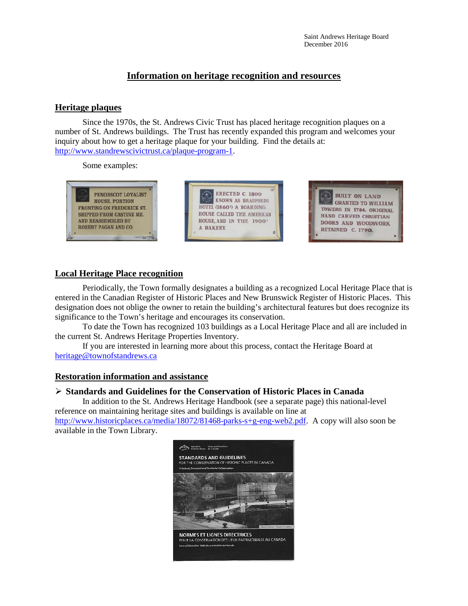# **Information on heritage recognition and resources**

#### **Heritage plaques**

Since the 1970s, the St. Andrews Civic Trust has placed heritage recognition plaques on a number of St. Andrews buildings. The Trust has recently expanded this program and welcomes your inquiry about how to get a heritage plaque for your building. Find the details at: [http://www.standrewscivictrust.ca/plaque-program-1.](http://www.standrewscivictrust.ca/plaque-program-1)

Some examples:



## **Local Heritage Place recognition**

Periodically, the Town formally designates a building as a recognized Local Heritage Place that is entered in the Canadian Register of Historic Places and New Brunswick Register of Historic Places. This designation does not oblige the owner to retain the building's architectural features but does recognize its significance to the Town's heritage and encourages its conservation.

To date the Town has recognized 103 buildings as a Local Heritage Place and all are included in the current St. Andrews Heritage Properties Inventory.

If you are interested in learning more about this process, contact the Heritage Board at [heritage@townofstandrews.ca](mailto:heritage@townofstandrews.ca)

## **Restoration information and assistance**

#### **Standards and Guidelines for the Conservation of Historic Places in Canada**

In addition to the St. Andrews Heritage Handbook (see a separate page) this national-level reference on maintaining heritage sites and buildings is available on line at [http://www.historicplaces.ca/media/18072/81468-parks-s+g-eng-web2.pdf.](http://www.historicplaces.ca/media/18072/81468-parks-s+g-eng-web2.pdf) A copy will also soon be available in the Town Library.